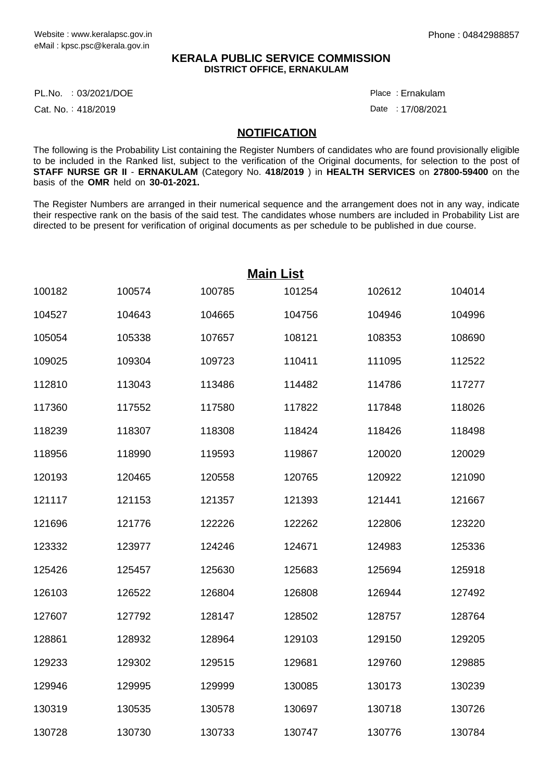## **KERALA PUBLIC SERVICE COMMISSION DISTRICT OFFICE, ERNAKULAM**

PL.No. :03/2021/DOE Place

Cat. No.: 418/2019

Ernakulam :

Date: 17/08/2021

## **NOTIFICATION**

The following is the Probability List containing the Register Numbers of candidates who are found provisionally eligible to be included in the Ranked list, subject to the verification of the Original documents, for selection to the post of **STAFF NURSE GR II** - **ERNAKULAM** (Category No. **418/2019** ) in **HEALTH SERVICES** on **27800-59400** on the basis of the **OMR** held on **30-01-2021.**

The Register Numbers are arranged in their numerical sequence and the arrangement does not in any way, indicate their respective rank on the basis of the said test. The candidates whose numbers are included in Probability List are directed to be present for verification of original documents as per schedule to be published in due course.

| <b>Main List</b> |        |        |        |        |        |  |  |
|------------------|--------|--------|--------|--------|--------|--|--|
| 100182           | 100574 | 100785 | 101254 | 102612 | 104014 |  |  |
| 104527           | 104643 | 104665 | 104756 | 104946 | 104996 |  |  |
| 105054           | 105338 | 107657 | 108121 | 108353 | 108690 |  |  |
| 109025           | 109304 | 109723 | 110411 | 111095 | 112522 |  |  |
| 112810           | 113043 | 113486 | 114482 | 114786 | 117277 |  |  |
| 117360           | 117552 | 117580 | 117822 | 117848 | 118026 |  |  |
| 118239           | 118307 | 118308 | 118424 | 118426 | 118498 |  |  |
| 118956           | 118990 | 119593 | 119867 | 120020 | 120029 |  |  |
| 120193           | 120465 | 120558 | 120765 | 120922 | 121090 |  |  |
| 121117           | 121153 | 121357 | 121393 | 121441 | 121667 |  |  |
| 121696           | 121776 | 122226 | 122262 | 122806 | 123220 |  |  |
| 123332           | 123977 | 124246 | 124671 | 124983 | 125336 |  |  |
| 125426           | 125457 | 125630 | 125683 | 125694 | 125918 |  |  |
| 126103           | 126522 | 126804 | 126808 | 126944 | 127492 |  |  |
| 127607           | 127792 | 128147 | 128502 | 128757 | 128764 |  |  |
| 128861           | 128932 | 128964 | 129103 | 129150 | 129205 |  |  |
| 129233           | 129302 | 129515 | 129681 | 129760 | 129885 |  |  |
| 129946           | 129995 | 129999 | 130085 | 130173 | 130239 |  |  |
| 130319           | 130535 | 130578 | 130697 | 130718 | 130726 |  |  |
| 130728           | 130730 | 130733 | 130747 | 130776 | 130784 |  |  |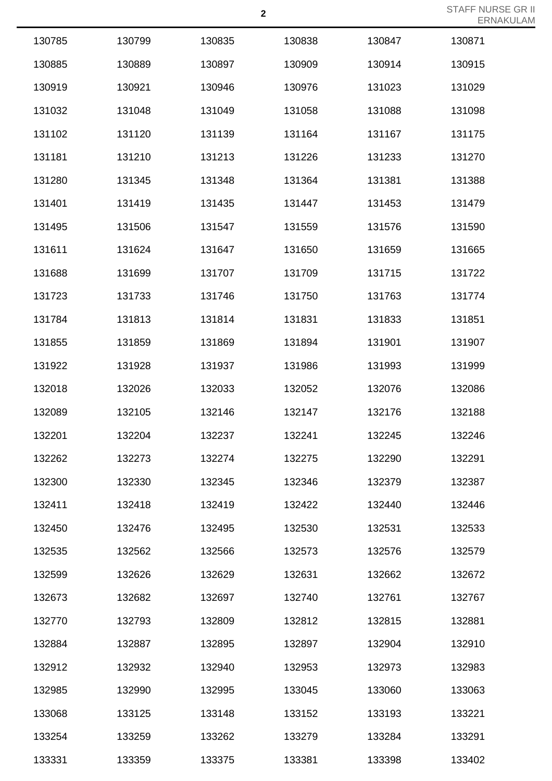| 130785 | 130799 | 130835 | 130838 | 130847 | 130871 |
|--------|--------|--------|--------|--------|--------|
| 130885 | 130889 | 130897 | 130909 | 130914 | 130915 |
| 130919 | 130921 | 130946 | 130976 | 131023 | 131029 |
| 131032 | 131048 | 131049 | 131058 | 131088 | 131098 |
| 131102 | 131120 | 131139 | 131164 | 131167 | 131175 |
| 131181 | 131210 | 131213 | 131226 | 131233 | 131270 |
| 131280 | 131345 | 131348 | 131364 | 131381 | 131388 |
| 131401 | 131419 | 131435 | 131447 | 131453 | 131479 |
| 131495 | 131506 | 131547 | 131559 | 131576 | 131590 |
| 131611 | 131624 | 131647 | 131650 | 131659 | 131665 |
| 131688 | 131699 | 131707 | 131709 | 131715 | 131722 |
| 131723 | 131733 | 131746 | 131750 | 131763 | 131774 |
| 131784 | 131813 | 131814 | 131831 | 131833 | 131851 |
| 131855 | 131859 | 131869 | 131894 | 131901 | 131907 |
| 131922 | 131928 | 131937 | 131986 | 131993 | 131999 |
| 132018 | 132026 | 132033 | 132052 | 132076 | 132086 |
| 132089 | 132105 | 132146 | 132147 | 132176 | 132188 |
| 132201 | 132204 | 132237 | 132241 | 132245 | 132246 |
| 132262 | 132273 | 132274 | 132275 | 132290 | 132291 |
| 132300 | 132330 | 132345 | 132346 | 132379 | 132387 |
| 132411 | 132418 | 132419 | 132422 | 132440 | 132446 |
| 132450 | 132476 | 132495 | 132530 | 132531 | 132533 |
| 132535 | 132562 | 132566 | 132573 | 132576 | 132579 |
| 132599 | 132626 | 132629 | 132631 | 132662 | 132672 |
| 132673 | 132682 | 132697 | 132740 | 132761 | 132767 |
| 132770 | 132793 | 132809 | 132812 | 132815 | 132881 |
| 132884 | 132887 | 132895 | 132897 | 132904 | 132910 |
| 132912 | 132932 | 132940 | 132953 | 132973 | 132983 |
| 132985 | 132990 | 132995 | 133045 | 133060 | 133063 |
| 133068 | 133125 | 133148 | 133152 | 133193 | 133221 |
| 133254 | 133259 | 133262 | 133279 | 133284 | 133291 |
| 133331 | 133359 | 133375 | 133381 | 133398 | 133402 |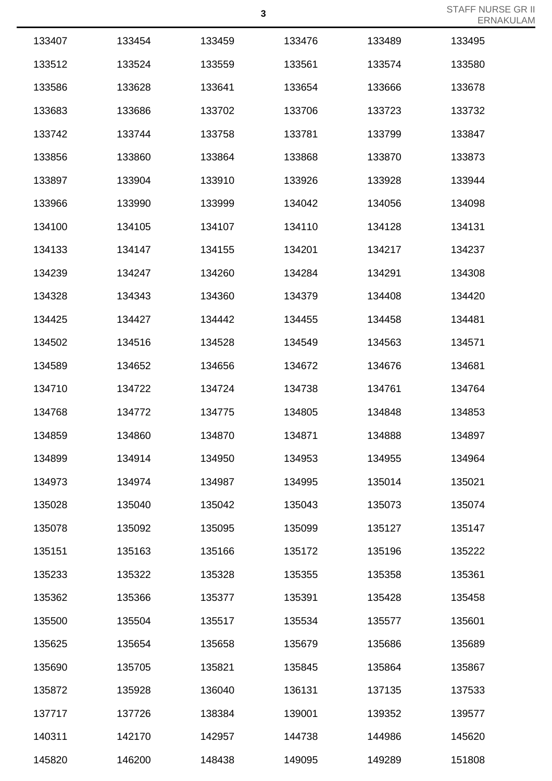| 133407 | 133454 | 133459 | 133476 | 133489 | 133495 |
|--------|--------|--------|--------|--------|--------|
| 133512 | 133524 | 133559 | 133561 | 133574 | 133580 |
| 133586 | 133628 | 133641 | 133654 | 133666 | 133678 |
| 133683 | 133686 | 133702 | 133706 | 133723 | 133732 |
| 133742 | 133744 | 133758 | 133781 | 133799 | 133847 |
| 133856 | 133860 | 133864 | 133868 | 133870 | 133873 |
| 133897 | 133904 | 133910 | 133926 | 133928 | 133944 |
| 133966 | 133990 | 133999 | 134042 | 134056 | 134098 |
| 134100 | 134105 | 134107 | 134110 | 134128 | 134131 |
| 134133 | 134147 | 134155 | 134201 | 134217 | 134237 |
| 134239 | 134247 | 134260 | 134284 | 134291 | 134308 |
| 134328 | 134343 | 134360 | 134379 | 134408 | 134420 |
| 134425 | 134427 | 134442 | 134455 | 134458 | 134481 |
| 134502 | 134516 | 134528 | 134549 | 134563 | 134571 |
| 134589 | 134652 | 134656 | 134672 | 134676 | 134681 |
| 134710 | 134722 | 134724 | 134738 | 134761 | 134764 |
| 134768 | 134772 | 134775 | 134805 | 134848 | 134853 |
| 134859 | 134860 | 134870 | 134871 | 134888 | 134897 |
| 134899 | 134914 | 134950 | 134953 | 134955 | 134964 |
| 134973 | 134974 | 134987 | 134995 | 135014 | 135021 |
| 135028 | 135040 | 135042 | 135043 | 135073 | 135074 |
| 135078 | 135092 | 135095 | 135099 | 135127 | 135147 |
| 135151 | 135163 | 135166 | 135172 | 135196 | 135222 |
| 135233 | 135322 | 135328 | 135355 | 135358 | 135361 |
| 135362 | 135366 | 135377 | 135391 | 135428 | 135458 |
| 135500 | 135504 | 135517 | 135534 | 135577 | 135601 |
| 135625 | 135654 | 135658 | 135679 | 135686 | 135689 |
| 135690 | 135705 | 135821 | 135845 | 135864 | 135867 |
| 135872 | 135928 | 136040 | 136131 | 137135 | 137533 |
| 137717 | 137726 | 138384 | 139001 | 139352 | 139577 |
| 140311 | 142170 | 142957 | 144738 | 144986 | 145620 |
| 145820 | 146200 | 148438 | 149095 | 149289 | 151808 |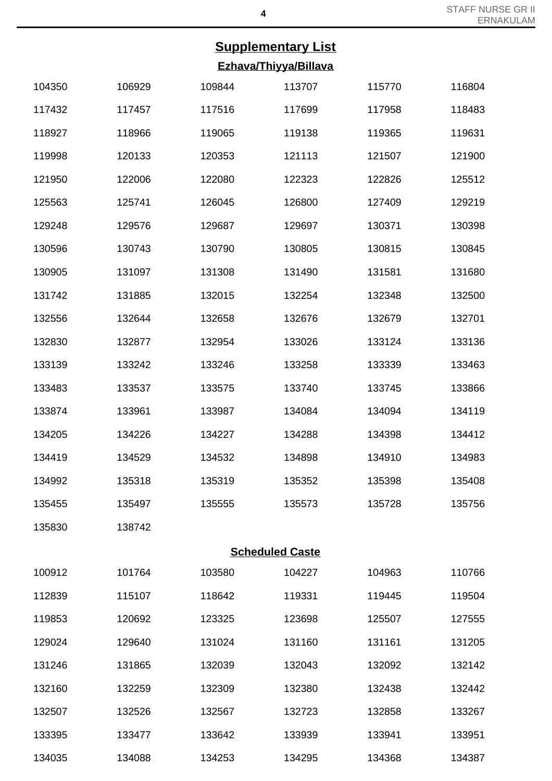## **Supplementary List Ezhava/Thiyya/Billava**

| 104350                 | 106929 | 109844 | 113707 | 115770 | 116804 |  |  |
|------------------------|--------|--------|--------|--------|--------|--|--|
| 117432                 | 117457 | 117516 | 117699 | 117958 | 118483 |  |  |
| 118927                 | 118966 | 119065 | 119138 | 119365 | 119631 |  |  |
| 119998                 | 120133 | 120353 | 121113 | 121507 | 121900 |  |  |
| 121950                 | 122006 | 122080 | 122323 | 122826 | 125512 |  |  |
| 125563                 | 125741 | 126045 | 126800 | 127409 | 129219 |  |  |
| 129248                 | 129576 | 129687 | 129697 | 130371 | 130398 |  |  |
| 130596                 | 130743 | 130790 | 130805 | 130815 | 130845 |  |  |
| 130905                 | 131097 | 131308 | 131490 | 131581 | 131680 |  |  |
| 131742                 | 131885 | 132015 | 132254 | 132348 | 132500 |  |  |
| 132556                 | 132644 | 132658 | 132676 | 132679 | 132701 |  |  |
| 132830                 | 132877 | 132954 | 133026 | 133124 | 133136 |  |  |
| 133139                 | 133242 | 133246 | 133258 | 133339 | 133463 |  |  |
| 133483                 | 133537 | 133575 | 133740 | 133745 | 133866 |  |  |
| 133874                 | 133961 | 133987 | 134084 | 134094 | 134119 |  |  |
| 134205                 | 134226 | 134227 | 134288 | 134398 | 134412 |  |  |
| 134419                 | 134529 | 134532 | 134898 | 134910 | 134983 |  |  |
| 134992                 | 135318 | 135319 | 135352 | 135398 | 135408 |  |  |
| 135455                 | 135497 | 135555 | 135573 | 135728 | 135756 |  |  |
| 135830                 | 138742 |        |        |        |        |  |  |
| <b>Scheduled Caste</b> |        |        |        |        |        |  |  |
| 100912                 | 101764 | 103580 | 104227 | 104963 | 110766 |  |  |
| 112839                 | 115107 | 118642 | 119331 | 119445 | 119504 |  |  |
| 119853                 | 120692 | 123325 | 123698 | 125507 | 127555 |  |  |
| 129024                 | 129640 | 131024 | 131160 | 131161 | 131205 |  |  |
| 131246                 | 131865 | 132039 | 132043 | 132092 | 132142 |  |  |
| 132160                 | 132259 | 132309 | 132380 | 132438 | 132442 |  |  |
| 132507                 | 132526 | 132567 | 132723 | 132858 | 133267 |  |  |
| 133395                 | 133477 | 133642 | 133939 | 133941 | 133951 |  |  |
| 134035                 | 134088 | 134253 | 134295 | 134368 | 134387 |  |  |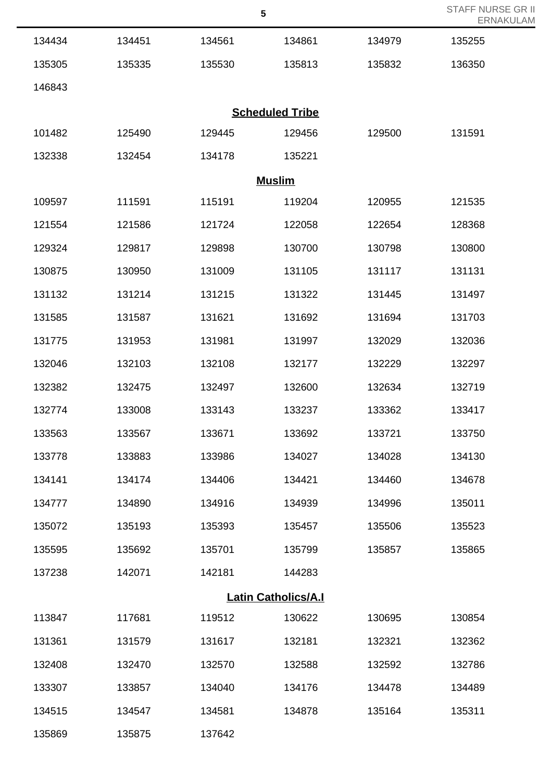| STAFF NURSE GR II |
|-------------------|
| ERNAKULAM         |

|        |        |        | $\sqrt{5}$                 |        | <b>STAFF NURSE</b><br><b>ERNAKI</b> |
|--------|--------|--------|----------------------------|--------|-------------------------------------|
| 134434 | 134451 | 134561 | 134861                     | 134979 | 135255                              |
| 135305 | 135335 | 135530 | 135813                     | 135832 | 136350                              |
| 146843 |        |        |                            |        |                                     |
|        |        |        | <b>Scheduled Tribe</b>     |        |                                     |
| 101482 | 125490 | 129445 | 129456                     | 129500 | 131591                              |
| 132338 | 132454 | 134178 | 135221                     |        |                                     |
|        |        |        | <b>Muslim</b>              |        |                                     |
| 109597 | 111591 | 115191 | 119204                     | 120955 | 121535                              |
| 121554 | 121586 | 121724 | 122058                     | 122654 | 128368                              |
| 129324 | 129817 | 129898 | 130700                     | 130798 | 130800                              |
| 130875 | 130950 | 131009 | 131105                     | 131117 | 131131                              |
| 131132 | 131214 | 131215 | 131322                     | 131445 | 131497                              |
| 131585 | 131587 | 131621 | 131692                     | 131694 | 131703                              |
| 131775 | 131953 | 131981 | 131997                     | 132029 | 132036                              |
| 132046 | 132103 | 132108 | 132177                     | 132229 | 132297                              |
| 132382 | 132475 | 132497 | 132600                     | 132634 | 132719                              |
| 132774 | 133008 | 133143 | 133237                     | 133362 | 133417                              |
| 133563 | 133567 | 133671 | 133692                     | 133721 | 133750                              |
| 133778 | 133883 | 133986 | 134027                     | 134028 | 134130                              |
| 134141 | 134174 | 134406 | 134421                     | 134460 | 134678                              |
| 134777 | 134890 | 134916 | 134939                     | 134996 | 135011                              |
| 135072 | 135193 | 135393 | 135457                     | 135506 | 135523                              |
| 135595 | 135692 | 135701 | 135799                     | 135857 | 135865                              |
| 137238 | 142071 | 142181 | 144283                     |        |                                     |
|        |        |        | <b>Latin Catholics/A.I</b> |        |                                     |
| 113847 | 117681 | 119512 | 130622                     | 130695 | 130854                              |
| 131361 | 131579 | 131617 | 132181                     | 132321 | 132362                              |
| 132408 | 132470 | 132570 | 132588                     | 132592 | 132786                              |
| 133307 | 133857 | 134040 | 134176                     | 134478 | 134489                              |
| 134515 | 134547 | 134581 | 134878                     | 135164 | 135311                              |
| 135869 | 135875 | 137642 |                            |        |                                     |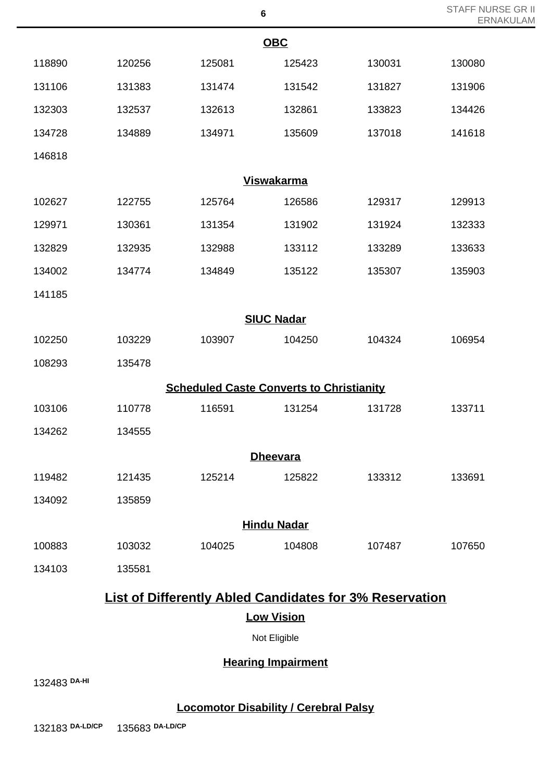|        |        |                                                 | O                  |                                                                | <b>ERNAKULAM</b> |  |
|--------|--------|-------------------------------------------------|--------------------|----------------------------------------------------------------|------------------|--|
|        |        |                                                 | <b>OBC</b>         |                                                                |                  |  |
| 118890 | 120256 | 125081                                          | 125423             | 130031                                                         | 130080           |  |
| 131106 | 131383 | 131474                                          | 131542             | 131827                                                         | 131906           |  |
| 132303 | 132537 | 132613                                          | 132861             | 133823                                                         | 134426           |  |
| 134728 | 134889 | 134971                                          | 135609             | 137018                                                         | 141618           |  |
| 146818 |        |                                                 |                    |                                                                |                  |  |
|        |        |                                                 | <b>Viswakarma</b>  |                                                                |                  |  |
| 102627 | 122755 | 125764                                          | 126586             | 129317                                                         | 129913           |  |
| 129971 | 130361 | 131354                                          | 131902             | 131924                                                         | 132333           |  |
| 132829 | 132935 | 132988                                          | 133112             | 133289                                                         | 133633           |  |
| 134002 | 134774 | 134849                                          | 135122             | 135307                                                         | 135903           |  |
| 141185 |        |                                                 |                    |                                                                |                  |  |
|        |        |                                                 | <b>SIUC Nadar</b>  |                                                                |                  |  |
| 102250 | 103229 | 103907                                          | 104250             | 104324                                                         | 106954           |  |
| 108293 | 135478 |                                                 |                    |                                                                |                  |  |
|        |        | <b>Scheduled Caste Converts to Christianity</b> |                    |                                                                |                  |  |
| 103106 | 110778 | 116591                                          | 131254             | 131728                                                         | 133711           |  |
| 134262 | 134555 |                                                 |                    |                                                                |                  |  |
|        |        |                                                 | <b>Dheevara</b>    |                                                                |                  |  |
| 119482 | 121435 | 125214                                          | 125822             | 133312                                                         | 133691           |  |
| 134092 | 135859 |                                                 |                    |                                                                |                  |  |
|        |        |                                                 | <b>Hindu Nadar</b> |                                                                |                  |  |
| 100883 | 103032 | 104025                                          | 104808             | 107487                                                         | 107650           |  |
| 134103 | 135581 |                                                 |                    |                                                                |                  |  |
|        |        |                                                 |                    | <b>List of Differently Abled Candidates for 3% Reservation</b> |                  |  |
|        |        |                                                 | <b>Low Vision</b>  |                                                                |                  |  |
|        |        |                                                 | Not Eligible       |                                                                |                  |  |

STAFF NURSE GR II

**Hearing Impairment**

**DA-HI**

**Locomotor Disability / Cerebral Palsy**